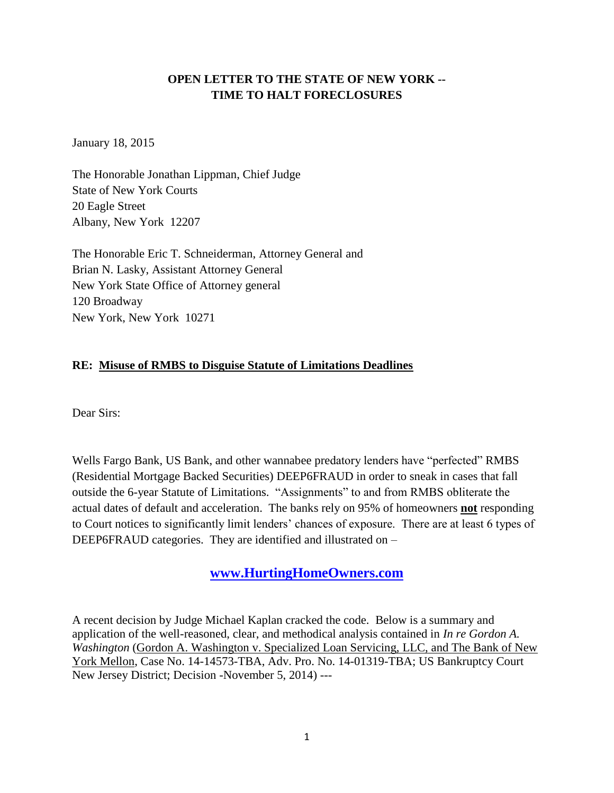### **OPEN LETTER TO THE STATE OF NEW YORK -- TIME TO HALT FORECLOSURES**

January 18, 2015

The Honorable Jonathan Lippman, Chief Judge State of New York Courts 20 Eagle Street Albany, New York 12207

The Honorable Eric T. Schneiderman, Attorney General and Brian N. Lasky, Assistant Attorney General New York State Office of Attorney general 120 Broadway New York, New York 10271

### **RE: Misuse of RMBS to Disguise Statute of Limitations Deadlines**

Dear Sirs:

Wells Fargo Bank, US Bank, and other wannabee predatory lenders have "perfected" RMBS (Residential Mortgage Backed Securities) DEEP6FRAUD in order to sneak in cases that fall outside the 6-year Statute of Limitations. "Assignments" to and from RMBS obliterate the actual dates of default and acceleration. The banks rely on 95% of homeowners **not** responding to Court notices to significantly limit lenders' chances of exposure. There are at least 6 types of DEEP6FRAUD categories. They are identified and illustrated on –

# **[www.HurtingHomeOwners.com](http://www.hurtinghomeowners.com/)**

A recent decision by Judge Michael Kaplan cracked the code. Below is a summary and application of the well-reasoned, clear, and methodical analysis contained in *In re Gordon A. Washington* (Gordon A. Washington v. Specialized Loan Servicing, LLC, and The Bank of New York Mellon, Case No. 14-14573-TBA, Adv. Pro. No. 14-01319-TBA; US Bankruptcy Court New Jersey District; Decision -November 5, 2014) ---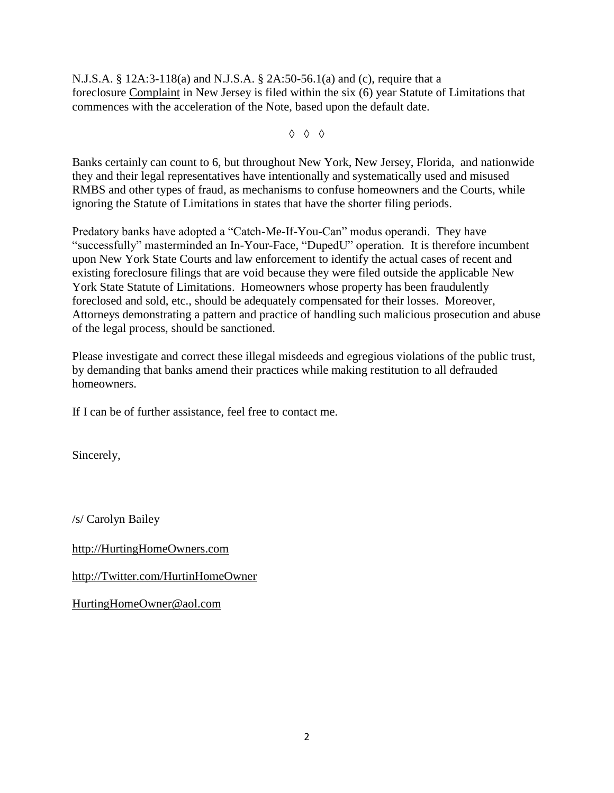N.J.S.A. § 12A:3-118(a) and N.J.S.A. § 2A:50-56.1(a) and (c), require that a foreclosure Complaint in New Jersey is filed within the six (6) year Statute of Limitations that commences with the acceleration of the Note, based upon the default date.

◊ ◊ ◊

Banks certainly can count to 6, but throughout New York, New Jersey, Florida, and nationwide they and their legal representatives have intentionally and systematically used and misused RMBS and other types of fraud, as mechanisms to confuse homeowners and the Courts, while ignoring the Statute of Limitations in states that have the shorter filing periods.

Predatory banks have adopted a "Catch-Me-If-You-Can" modus operandi. They have "successfully" masterminded an In-Your-Face, "DupedU" operation. It is therefore incumbent upon New York State Courts and law enforcement to identify the actual cases of recent and existing foreclosure filings that are void because they were filed outside the applicable New York State Statute of Limitations. Homeowners whose property has been fraudulently foreclosed and sold, etc., should be adequately compensated for their losses. Moreover, Attorneys demonstrating a pattern and practice of handling such malicious prosecution and abuse of the legal process, should be sanctioned.

Please investigate and correct these illegal misdeeds and egregious violations of the public trust, by demanding that banks amend their practices while making restitution to all defrauded homeowners.

If I can be of further assistance, feel free to contact me.

Sincerely,

/s/ Carolyn Bailey

[http://HurtingHomeOwners.com](http://hurtinghomeowners.com/)

[http://Twitter.com/HurtinHomeOwner](http://twitter.com/HurtinHomeOwner)

[HurtingHomeOwner@aol.com](mailto:HurtingHomeOwner@aol.com)